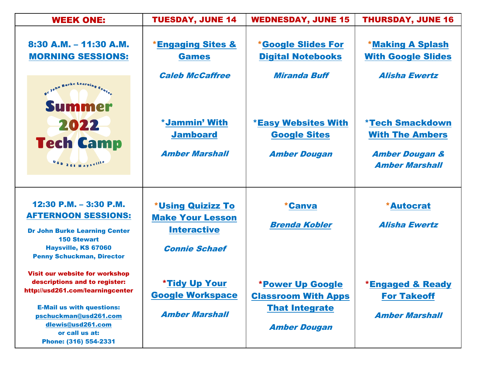| <b>WEEK ONE:</b>                                                                                                          | <b>TUESDAY, JUNE 14</b>                         | <b>WEDNESDAY, JUNE 15</b>                             | <b>THURSDAY, JUNE 16</b>                             |
|---------------------------------------------------------------------------------------------------------------------------|-------------------------------------------------|-------------------------------------------------------|------------------------------------------------------|
| 8:30 A.M. - 11:30 A.M.<br><b>MORNING SESSIONS:</b>                                                                        | <b>*Engaging Sites &amp;</b><br><b>Games</b>    | <b>*Google Slides For</b><br><b>Digital Notebooks</b> | <b>*Making A Splash</b><br><b>With Google Slides</b> |
| Summer                                                                                                                    | <b>Caleb McCaffree</b>                          | <b>Miranda Buff</b>                                   | <b>Alisha Ewertz</b>                                 |
| 2022                                                                                                                      | *Jammin' With<br><b>Jamboard</b>                | <b>*Easy Websites With</b><br><b>Google Sites</b>     | <b>*Tech Smackdown</b><br><b>With The Ambers</b>     |
| <b>Tech Camp</b><br>$0s_{D-261\;Hays}$ ville                                                                              | <b>Amber Marshall</b>                           | <b>Amber Dougan</b>                                   | <b>Amber Dougan &amp;</b><br><b>Amber Marshall</b>   |
| 12:30 P.M. $-$ 3:30 P.M.<br><b>AFTERNOON SESSIONS:</b>                                                                    | *Using Quizizz To                               | <i><b>*Canva</b></i>                                  | <b>*Autocrat</b>                                     |
| <b>Dr John Burke Learning Center</b><br><b>150 Stewart</b>                                                                | <b>Make Your Lesson</b><br><b>Interactive</b>   | <b>Brenda Kobler</b>                                  | <b>Alisha Ewertz</b>                                 |
| Haysville, KS 67060<br><b>Penny Schuckman, Director</b>                                                                   | <b>Connie Schaef</b>                            |                                                       |                                                      |
| Visit our website for workshop<br>descriptions and to register:<br>http://usd261.com/learningcenter                       | <b>*Tidy Up Your</b><br><b>Google Workspace</b> | *Power Up Google<br><b>Classroom With Apps</b>        | <b>*Engaged &amp; Ready</b><br><b>For Takeoff</b>    |
| <b>E-Mail us with questions:</b><br>pschuckman@usd261.com<br>dlewis@usd261.com<br>or call us at:<br>Phone: (316) 554-2331 | <b>Amber Marshall</b>                           | <b>That Integrate</b><br><b>Amber Dougan</b>          | <b>Amber Marshall</b>                                |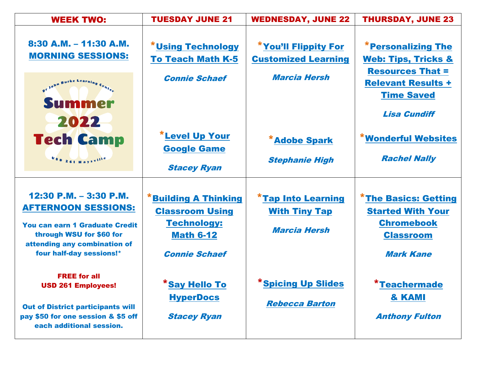| <b>WEEK TWO:</b>                                                                                                                                                                           | <b>TUESDAY JUNE 21</b>                                                                          | <b>WEDNESDAY, JUNE 22</b>                                                | <b>THURSDAY, JUNE 23</b>                                                                         |
|--------------------------------------------------------------------------------------------------------------------------------------------------------------------------------------------|-------------------------------------------------------------------------------------------------|--------------------------------------------------------------------------|--------------------------------------------------------------------------------------------------|
| $8:30$ A.M. $- 11:30$ A.M.<br><b>MORNING SESSIONS:</b>                                                                                                                                     | <b>*Using Technology</b><br><b>To Teach Math K-5</b>                                            | <b>*You'll Flippity For</b><br><b>Customized Learning</b>                | <b>*Personalizing The</b><br><b>Web: Tips, Tricks &amp;</b><br><b>Resources That =</b>           |
| or John Burke Learning<br>Summer<br>2022                                                                                                                                                   | <b>Connie Schaef</b>                                                                            | <b>Marcia Hersh</b>                                                      | <b>Relevant Results +</b><br><b>Time Saved</b><br><b>Lisa Cundiff</b>                            |
| <b>Tech Camp</b><br>USD 261 Havsville                                                                                                                                                      | <b>*Level Up Your</b><br><b>Google Game</b><br><b>Stacey Ryan</b>                               | <b>*Adobe Spark</b><br><b>Stephanie High</b>                             | <b>*Wonderful Websites</b><br><b>Rachel Nally</b>                                                |
| 12:30 P.M. $-$ 3:30 P.M.<br><b>AFTERNOON SESSIONS:</b><br>You can earn 1 Graduate Credit<br>through WSU for \$60 for<br>attending any combination of                                       | <b>*Building A Thinking</b><br><b>Classroom Using</b><br><b>Technology:</b><br><b>Math 6-12</b> | <b>*Tap Into Learning</b><br><b>With Tiny Tap</b><br><b>Marcia Hersh</b> | <b>*The Basics: Getting</b><br><b>Started With Your</b><br><b>Chromebook</b><br><b>Classroom</b> |
| four half-day sessions!*<br><b>FREE for all</b><br><b>USD 261 Employees!</b><br><b>Out of District participants will</b><br>pay \$50 for one session & \$5 off<br>each additional session. | <b>Connie Schaef</b><br>*Say Hello To<br><b>HyperDocs</b><br><b>Stacey Ryan</b>                 | *Spicing Up Slides<br><b>Rebecca Barton</b>                              | <b>Mark Kane</b><br>*Teachermade<br>& KAMI<br><b>Anthony Fulton</b>                              |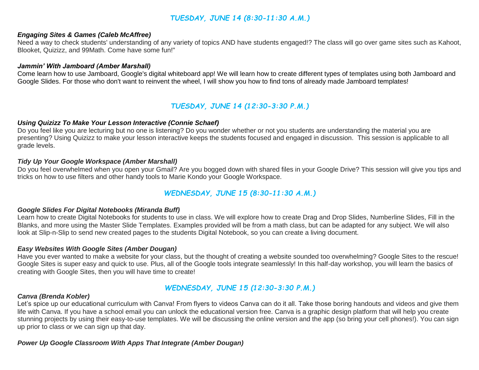# *TUESDAY, JUNE 14 (8:30-11:30 A.M.)*

### *Engaging Sites & Games (Caleb McAffree)*

Need a way to check students' understanding of any variety of topics AND have students engaged!? The class will go over game sites such as Kahoot, Blooket, Quizizz, and 99Math. Come have some fun!"

#### *Jammin' With Jamboard (Amber Marshall)*

Come learn how to use Jamboard, Google's digital whiteboard app! We will learn how to create different types of templates using both Jamboard and Google Slides. For those who don't want to reinvent the wheel, I will show you how to find tons of already made Jamboard templates!

# *TUESDAY, JUNE 14 (12:30-3:30 P.M.)*

#### *Using Quizizz To Make Your Lesson Interactive (Connie Schaef)*

Do you feel like you are lecturing but no one is listening? Do you wonder whether or not you students are understanding the material you are presenting? Using Quizizz to make your lesson interactive keeps the students focused and engaged in discussion. This session is applicable to all grade levels.

#### *Tidy Up Your Google Workspace (Amber Marshall)*

Do you feel overwhelmed when you open your Gmail? Are you bogged down with shared files in your Google Drive? This session will give you tips and tricks on how to use filters and other handy tools to Marie Kondo your Google Workspace.

# *WEDNESDAY, JUNE 15 (8:30-11:30 A.M.)*

#### *Google Slides For Digital Notebooks (Miranda Buff)*

Learn how to create Digital Notebooks for students to use in class. We will explore how to create Drag and Drop Slides, Numberline Slides, Fill in the Blanks, and more using the Master Slide Templates. Examples provided will be from a math class, but can be adapted for any subject. We will also look at Slip-n-Slip to send new created pages to the students Digital Notebook, so you can create a living document.

#### *Easy Websites With Google Sites (Amber Dougan)*

Have you ever wanted to make a website for your class, but the thought of creating a website sounded too overwhelming? Google Sites to the rescue! Google Sites is super easy and quick to use. Plus, all of the Google tools integrate seamlessly! In this half-day workshop, you will learn the basics of creating with Google Sites, then you will have time to create!

#### *Canva (Brenda Kobler)*

## *WEDNESDAY, JUNE 15 (12:30-3:30 P.M.)*

Let's spice up our educational curriculum with Canva! From flyers to videos Canva can do it all. Take those boring handouts and videos and give them life with Canva. If you have a school email you can unlock the educational version free. Canva is a graphic design platform that will help you create stunning projects by using their easy-to-use templates. We will be discussing the online version and the app (so bring your cell phones!). You can sign up prior to class or we can sign up that day.

*Power Up Google Classroom With Apps That Integrate (Amber Dougan)*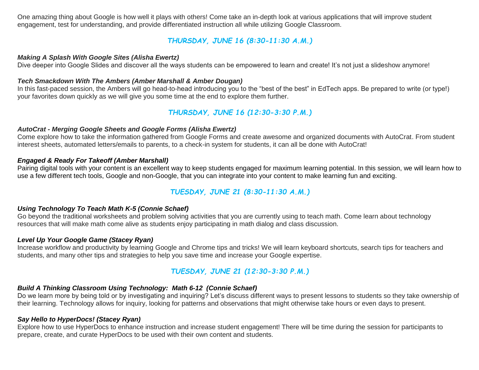One amazing thing about Google is how well it plays with others! Come take an in-depth look at various applications that will improve student engagement, test for understanding, and provide differentiated instruction all while utilizing Google Classroom.

# *THURSDAY, JUNE 16 (8:30-11:30 A.M.)*

## *Making A Splash With Google Sites (Alisha Ewertz)*

Dive deeper into Google Slides and discover all the ways students can be empowered to learn and create! It's not just a slideshow anymore!

## *Tech Smackdown With The Ambers (Amber Marshall & Amber Dougan)*

In this fast-paced session, the Ambers will go head-to-head introducing you to the "best of the best" in EdTech apps. Be prepared to write (or type!) your favorites down quickly as we will give you some time at the end to explore them further.

# *THURSDAY, JUNE 16 (12:30-3:30 P.M.)*

## *AutoCrat - Merging Google Sheets and Google Forms (Alisha Ewertz)*

Come explore how to take the information gathered from Google Forms and create awesome and organized documents with AutoCrat. From student interest sheets, automated letters/emails to parents, to a check-in system for students, it can all be done with AutoCrat!

## *Engaged & Ready For Takeoff (Amber Marshall)*

Pairing digital tools with your content is an excellent way to keep students engaged for maximum learning potential. In this session, we will learn how to use a few different tech tools, Google and non-Google, that you can integrate into your content to make learning fun and exciting.

# *TUESDAY, JUNE 21 (8:30-11:30 A.M.)*

## *Using Technology To Teach Math K-5 (Connie Schaef)*

Go beyond the traditional worksheets and problem solving activities that you are currently using to teach math. Come learn about technology resources that will make math come alive as students enjoy participating in math dialog and class discussion.

### *Level Up Your Google Game (Stacey Ryan)*

Increase workflow and productivity by learning Google and Chrome tips and tricks! We will learn keyboard shortcuts, search tips for teachers and students, and many other tips and strategies to help you save time and increase your Google expertise.

# *TUESDAY, JUNE 21 (12:30-3:30 P.M.)*

## *Build A Thinking Classroom Using Technology: Math 6-12 (Connie Schaef)*

Do we learn more by being told or by investigating and inquiring? Let's discuss different ways to present lessons to students so they take ownership of their learning. Technology allows for inquiry, looking for patterns and observations that might otherwise take hours or even days to present.

### *Say Hello to HyperDocs! (Stacey Ryan)*

Explore how to use HyperDocs to enhance instruction and increase student engagement! There will be time during the session for participants to prepare, create, and curate HyperDocs to be used with their own content and students.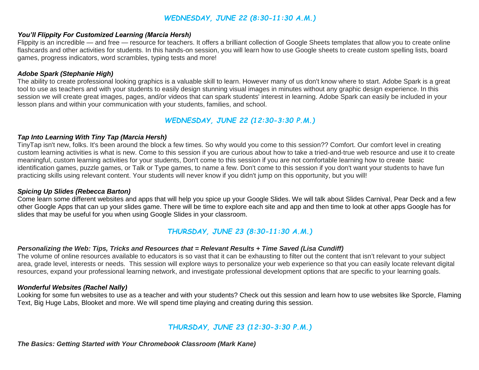# *WEDNESDAY, JUNE 22 (8:30-11:30 A.M.)*

#### *You'll Flippity For Customized Learning (Marcia Hersh)*

Flippity is an incredible — and free — resource for teachers. It offers a brilliant collection of Google Sheets templates that allow you to create online flashcards and other activities for students. In this hands-on session, you will learn how to use Google sheets to create custom spelling lists, board games, progress indicators, word scrambles, typing tests and more!

#### *Adobe Spark (Stephanie High)*

The ability to create professional looking graphics is a valuable skill to learn. However many of us don't know where to start. Adobe Spark is a great tool to use as teachers and with your students to easily design stunning visual images in minutes without any graphic design experience. In this session we will create great images, pages, and/or videos that can spark students' interest in learning. Adobe Spark can easily be included in your lesson plans and within your communication with your students, families, and school.

# *WEDNESDAY, JUNE 22 (12:30-3:30 P.M.)*

## *Tap Into Learning With Tiny Tap (Marcia Hersh)*

TinyTap isn't new, folks. It's been around the block a few times. So why would you come to this session?? Comfort. Our comfort level in creating custom learning activities is what is new. Come to this session if you are curious about how to take a tried-and-true web resource and use it to create meaningful, custom learning activities for your students, Don't come to this session if you are not comfortable learning how to create basic identification games, puzzle games, or Talk or Type games, to name a few. Don't come to this session if you don't want your students to have fun practicing skills using relevant content. Your students will never know if you didn't jump on this opportunity, but you will!

### *Spicing Up Slides (Rebecca Barton)*

Come learn some different websites and apps that will help you spice up your Google Slides. We will talk about Slides Carnival, Pear Deck and a few other Google Apps that can up your slides game. There will be time to explore each site and app and then time to look at other apps Google has for slides that may be useful for you when using Google Slides in your classroom.

# *THURSDAY, JUNE 23 (8:30-11:30 A.M.)*

#### *Personalizing the Web: Tips, Tricks and Resources that = Relevant Results + Time Saved (Lisa Cundiff)*

The volume of online resources available to educators is so vast that it can be exhausting to filter out the content that isn't relevant to your subject area, grade level, interests or needs. This session will explore ways to personalize your web experience so that you can easily locate relevant digital resources, expand your professional learning network, and investigate professional development options that are specific to your learning goals.

#### *Wonderful Websites (Rachel Nally)*

Looking for some fun websites to use as a teacher and with your students? Check out this session and learn how to use websites like Sporcle, Flaming Text, Big Huge Labs, Blooket and more. We will spend time playing and creating during this session.

## *THURSDAY, JUNE 23 (12:30-3:30 P.M.)*

*The Basics: Getting Started with Your Chromebook Classroom (Mark Kane)*